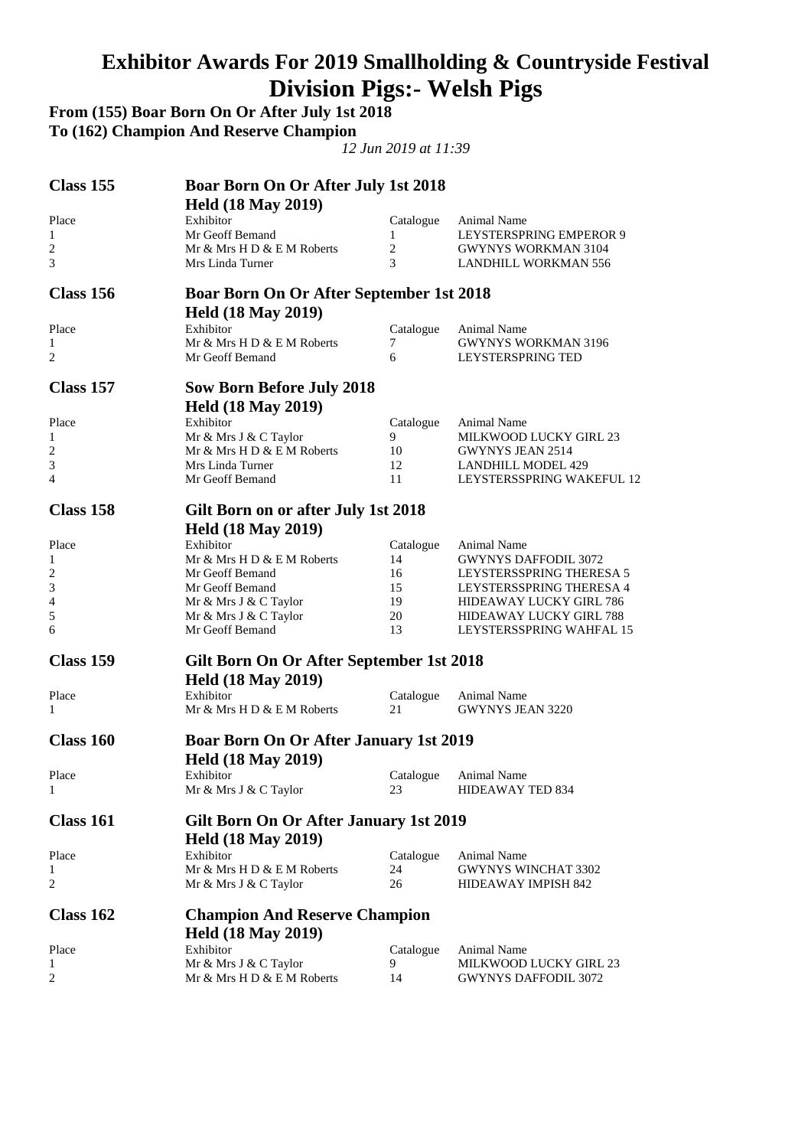#### **Exhibitor Awards For 2019 Smallholding & Countryside Festival Division Pigs:- Welsh Pigs**

**From (155) Boar Born On Or After July 1st 2018 To (162) Champion And Reserve Champion**  *12 Jun 2019 at 11:39*  **Class 155 Boar Born On Or After July 1st 2018 Held (18 May 2019)**  Place Exhibitor Catalogue Animal Name<br>
1 1 LEYSTERSPI 1 Mr Geoff Bemand 1 LEYSTERSPRING EMPEROR 9 2 Mr & Mrs H D & E M Roberts 2 GWYNYS WORKMAN 3104<br>3 Mrs Linda Turner 3 LANDHILL WORKMAN 556 3 Mrs Linda Turner 3 LANDHILL WORKMAN 556 **Class 156 Boar Born On Or After September 1st 2018 Held (18 May 2019)**  Place Exhibitor Exhibitor Catalogue Animal Name 1 Mr & Mrs H D & E M Roberts 7 GWYNYS WORKMAN 3196<br>2 Mr Geoff Bemand 6 1.EYSTERSPRING TED LEYSTERSPRING TED **Class 157 Sow Born Before July 2018** 

#### **Held (18 May 2019)**  Place Exhibitor Exhibitor Catalogue Animal Name 1 Mr & Mrs J & C Taylor 9 MILKWOOD LUCKY GIRL 23 2 Mr & Mrs H D & E M Roberts 10 GWYNYS JEAN 2514 3 Mrs Linda Turner 12 LANDHILL MODEL 429 4 Mr Geoff Bemand 11 LEYSTERSSPRING WAKEFUL 12

| Class 158        | Gilt Born on or after July 1st 2018      |           |                                |
|------------------|------------------------------------------|-----------|--------------------------------|
|                  | <b>Held (18 May 2019)</b>                |           |                                |
| Place            | Exhibitor                                | Catalogue | Animal Name                    |
| 1                | Mr & Mrs H D & E M Roberts               | 14        | <b>GWYNYS DAFFODIL 3072</b>    |
| 2                | Mr Geoff Bemand                          | 16        | LEYSTERSSPRING THERESA 5       |
| 3                | Mr Geoff Bemand                          | 15        | LEYSTERSSPRING THERESA 4       |
| 4                | Mr & Mrs J & C Taylor                    | 19        | <b>HIDEAWAY LUCKY GIRL 786</b> |
| 5                | Mr & Mrs J & C Taylor                    | 20        | <b>HIDEAWAY LUCKY GIRL 788</b> |
| 6                | Mr Geoff Bemand                          | 13        | LEYSTERSSPRING WAHFAL 15       |
| <b>Class 159</b> | Gilt Born On Or After September 1st 2018 |           |                                |
|                  | <b>Held (18 May 2019)</b>                |           |                                |
| Place            | Exhibitor                                | Catalogue | <b>Animal Name</b>             |
| 1                | Mr & Mrs H D & E M Roberts               | 21        | <b>GWYNYS JEAN 3220</b>        |

#### **Class 160 Boar Born On Or After January 1st 2019 Held (18 May 2019)**  Place Exhibitor Exhibitor Catalogue Animal Name 1 Mr & Mrs J & C Taylor 23 HIDEAWAY TED 834

#### **Class 161 Gilt Born On Or After January 1st 2019 Held (18 May 2019)**  Place Exhibitor Exhibitor Catalogue Animal Name 1 Mr & Mrs H D & E M Roberts 24 GWYNYS WINCHAT 3302 2 Mr & Mrs J & C Taylor 26 HIDEAWAY IMPISH 842 **Class 162 Champion And Reserve Champion Held (18 May 2019)**

| Place | Exhibitor<br>Mr & Mrs J & C Taylor | Catalogue Animal Name<br>MILKWOOD LUCKY GIRL 23 |
|-------|------------------------------------|-------------------------------------------------|
|       | Mr & Mrs H D & E M Roberts         | GWYNYS DAFFODIL 3072                            |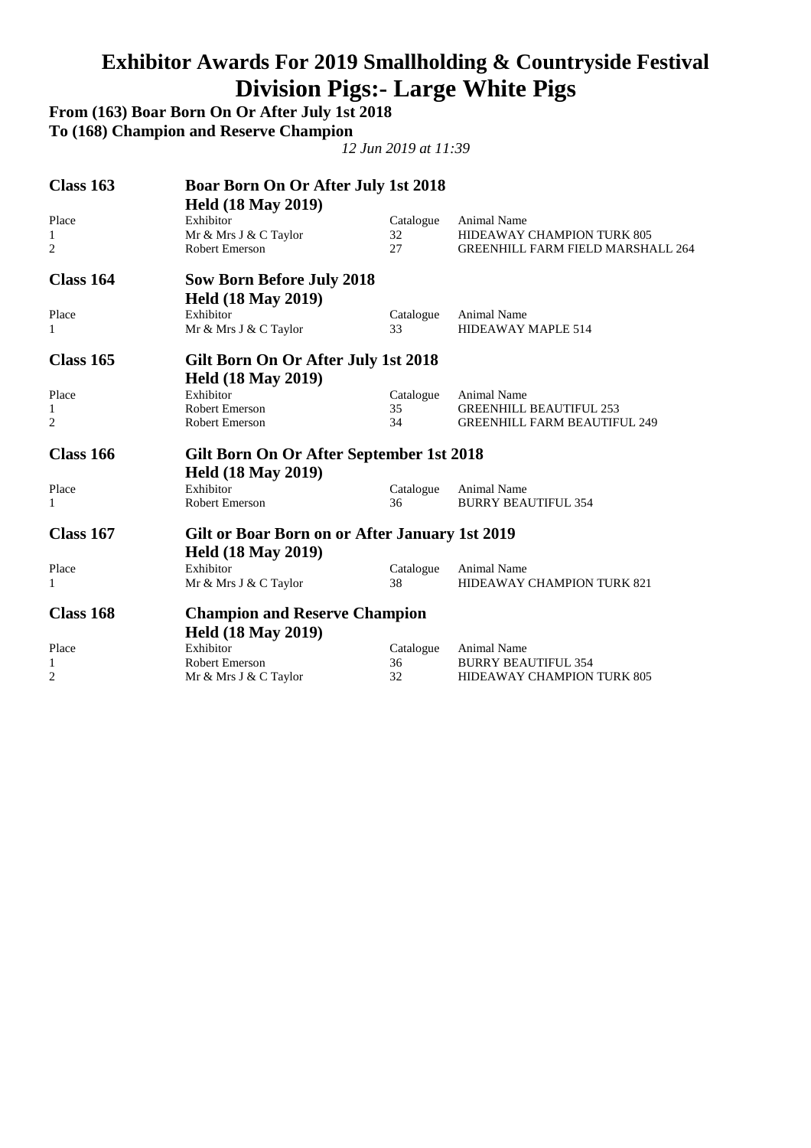### **Exhibitor Awards For 2019 Smallholding & Countryside Festival Division Pigs:- Large White Pigs**

**From (163) Boar Born On Or After July 1st 2018 To (168) Champion and Reserve Champion** 

| Class 163      | <b>Boar Born On Or After July 1st 2018</b>     |           |                                          |
|----------------|------------------------------------------------|-----------|------------------------------------------|
|                | <b>Held (18 May 2019)</b>                      |           |                                          |
| Place          | Exhibitor                                      | Catalogue | <b>Animal Name</b>                       |
| 1              | Mr & Mrs J & C Taylor                          | 32        | HIDEAWAY CHAMPION TURK 805               |
| 2              | Robert Emerson                                 | 27        | <b>GREENHILL FARM FIELD MARSHALL 264</b> |
| Class 164      | <b>Sow Born Before July 2018</b>               |           |                                          |
|                | <b>Held (18 May 2019)</b>                      |           |                                          |
| Place          | Exhibitor                                      | Catalogue | <b>Animal Name</b>                       |
| 1              | Mr & Mrs J & C Taylor                          | 33        | HIDEAWAY MAPLE 514                       |
| Class 165      | Gilt Born On Or After July 1st 2018            |           |                                          |
|                | <b>Held (18 May 2019)</b>                      |           |                                          |
| Place          | Exhibitor                                      | Catalogue | <b>Animal Name</b>                       |
| 1              | <b>Robert Emerson</b>                          | 35        | <b>GREENHILL BEAUTIFUL 253</b>           |
| $\overline{c}$ | <b>Robert Emerson</b>                          | 34        | <b>GREENHILL FARM BEAUTIFUL 249</b>      |
| Class 166      | Gilt Born On Or After September 1st 2018       |           |                                          |
|                | <b>Held (18 May 2019)</b>                      |           |                                          |
| Place          | Exhibitor                                      | Catalogue | Animal Name                              |
| 1              | <b>Robert Emerson</b>                          | 36        | <b>BURRY BEAUTIFUL 354</b>               |
| Class 167      | Gilt or Boar Born on or After January 1st 2019 |           |                                          |
|                | <b>Held (18 May 2019)</b>                      |           |                                          |
| Place          | Exhibitor                                      | Catalogue | Animal Name                              |
| 1              | Mr & Mrs J & C Taylor                          | 38        | <b>HIDEAWAY CHAMPION TURK 821</b>        |
|                |                                                |           |                                          |
| Class 168      | <b>Champion and Reserve Champion</b>           |           |                                          |
|                | <b>Held (18 May 2019)</b>                      |           |                                          |
| Place          | Exhibitor                                      | Catalogue | Animal Name                              |
| 1              | Robert Emerson                                 | 36        | <b>BURRY BEAUTIFUL 354</b>               |
| 2              | Mr & Mrs J & C Taylor                          | 32        | <b>HIDEAWAY CHAMPION TURK 805</b>        |
|                |                                                |           |                                          |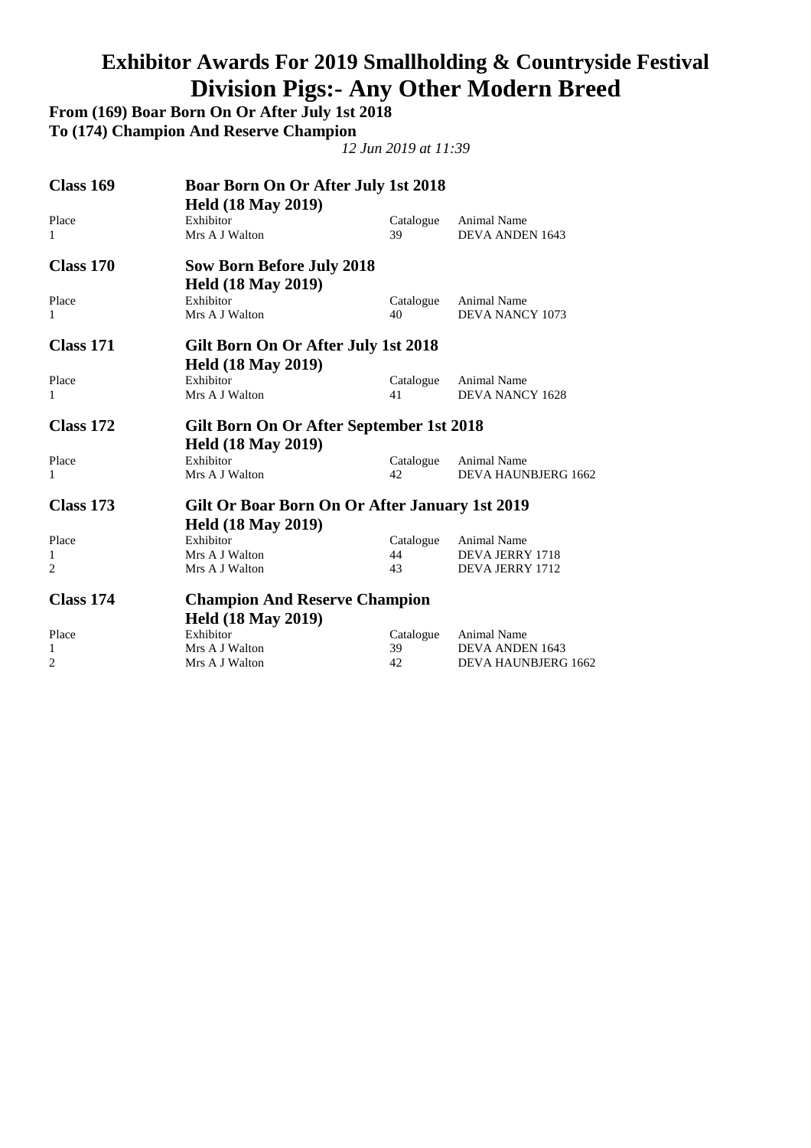### **Exhibitor Awards For 2019 Smallholding & Countryside Festival Division Pigs:- Any Other Modern Breed**

**From (169) Boar Born On Or After July 1st 2018 To (174) Champion And Reserve Champion** 

| <b>Class 169</b> | <b>Boar Born On Or After July 1st 2018</b><br><b>Held (18 May 2019)</b> |           |                            |
|------------------|-------------------------------------------------------------------------|-----------|----------------------------|
| Place            | Exhibitor                                                               | Catalogue | <b>Animal Name</b>         |
| 1                | Mrs A J Walton                                                          | 39        | DEVA ANDEN 1643            |
| Class 170        | <b>Sow Born Before July 2018</b>                                        |           |                            |
|                  | <b>Held (18 May 2019)</b>                                               |           |                            |
| Place            | Exhibitor                                                               | Catalogue | Animal Name                |
| 1                | Mrs A J Walton                                                          | 40        | DEVA NANCY 1073            |
| <b>Class 171</b> | Gilt Born On Or After July 1st 2018                                     |           |                            |
|                  | <b>Held (18 May 2019)</b>                                               |           |                            |
| Place            | Exhibitor                                                               | Catalogue | Animal Name                |
| 1                | Mrs A J Walton                                                          | 41        | <b>DEVA NANCY 1628</b>     |
| Class 172        | Gilt Born On Or After September 1st 2018                                |           |                            |
|                  | <b>Held (18 May 2019)</b>                                               |           |                            |
| Place            | Exhibitor                                                               | Catalogue | Animal Name                |
| 1                | Mrs A J Walton                                                          | 42.       | DEVA HAUNBJERG 1662        |
| Class 173        | Gilt Or Boar Born On Or After January 1st 2019                          |           |                            |
|                  | <b>Held (18 May 2019)</b>                                               |           |                            |
| Place            | Exhibitor                                                               | Catalogue | <b>Animal Name</b>         |
| 1                | Mrs A J Walton                                                          | 44        | DEVA JERRY 1718            |
| $\overline{2}$   | Mrs A J Walton                                                          | 43        | DEVA JERRY 1712            |
| Class 174        | <b>Champion And Reserve Champion</b>                                    |           |                            |
|                  | <b>Held (18 May 2019)</b>                                               |           |                            |
| Place            | Exhibitor                                                               | Catalogue | Animal Name                |
| 1                | Mrs A J Walton                                                          | 39        | <b>DEVA ANDEN 1643</b>     |
| $\overline{2}$   | Mrs A J Walton                                                          | 42        | <b>DEVA HAUNBJERG 1662</b> |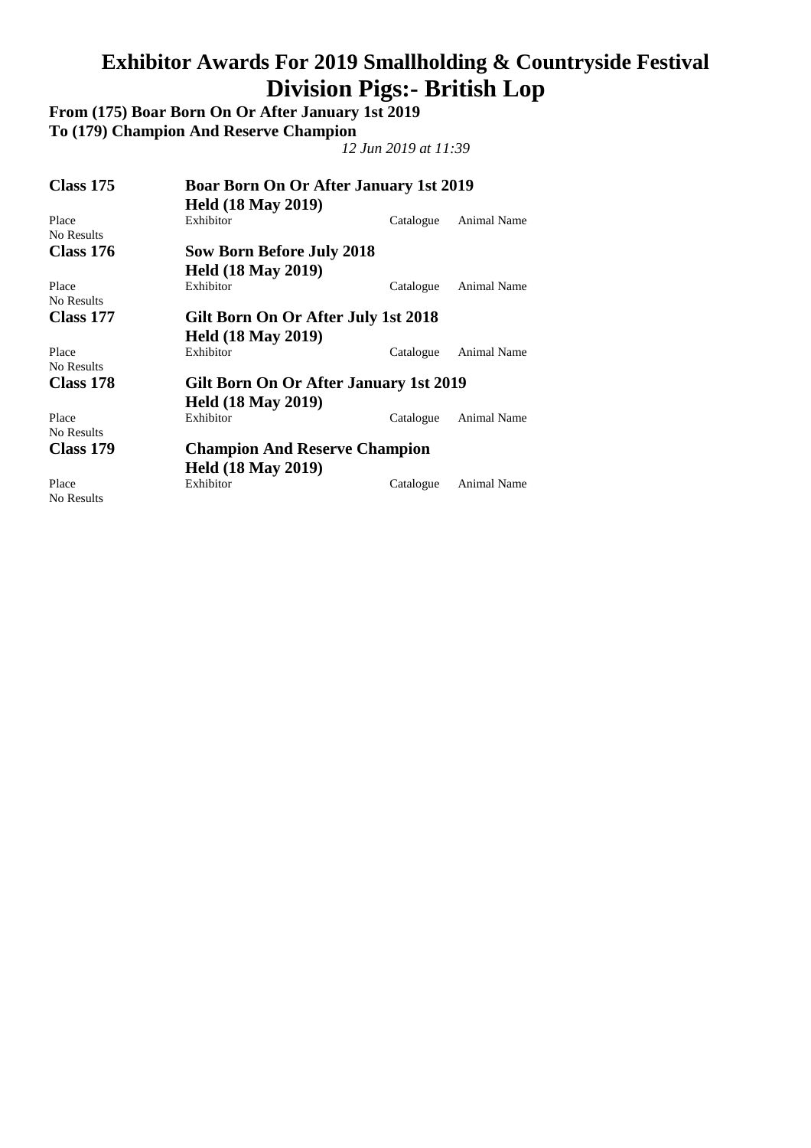#### **Exhibitor Awards For 2019 Smallholding & Countryside Festival Division Pigs:- British Lop**

**From (175) Boar Born On Or After January 1st 2019 To (179) Champion And Reserve Champion**  *12 Jun 2019 at 11:39*  **Class 175 Boar Born On Or After January 1st 2019 Held (18 May 2019)**  Place Exhibitor Catalogue Animal Name No Results **Class 176 Sow Born Before July 2018 Held (18 May 2019)**  Place Exhibitor Exhibitor Catalogue Animal Name

**Class 177 Gilt Born On Or After July 1st 2018** 

No Results

No Results

No Results

No Results

#### **Held (18 May 2019)**<br>Place Exhibitor Catalogue Animal Name **Class 178 Gilt Born On Or After January 1st 2019 Held (18 May 2019)**<br>Place Exhibitor Catalogue Animal Name **Class 179 Champion And Reserve Champion**

 **Held (18 May 2019)**  Place Exhibitor Catalogue Animal Name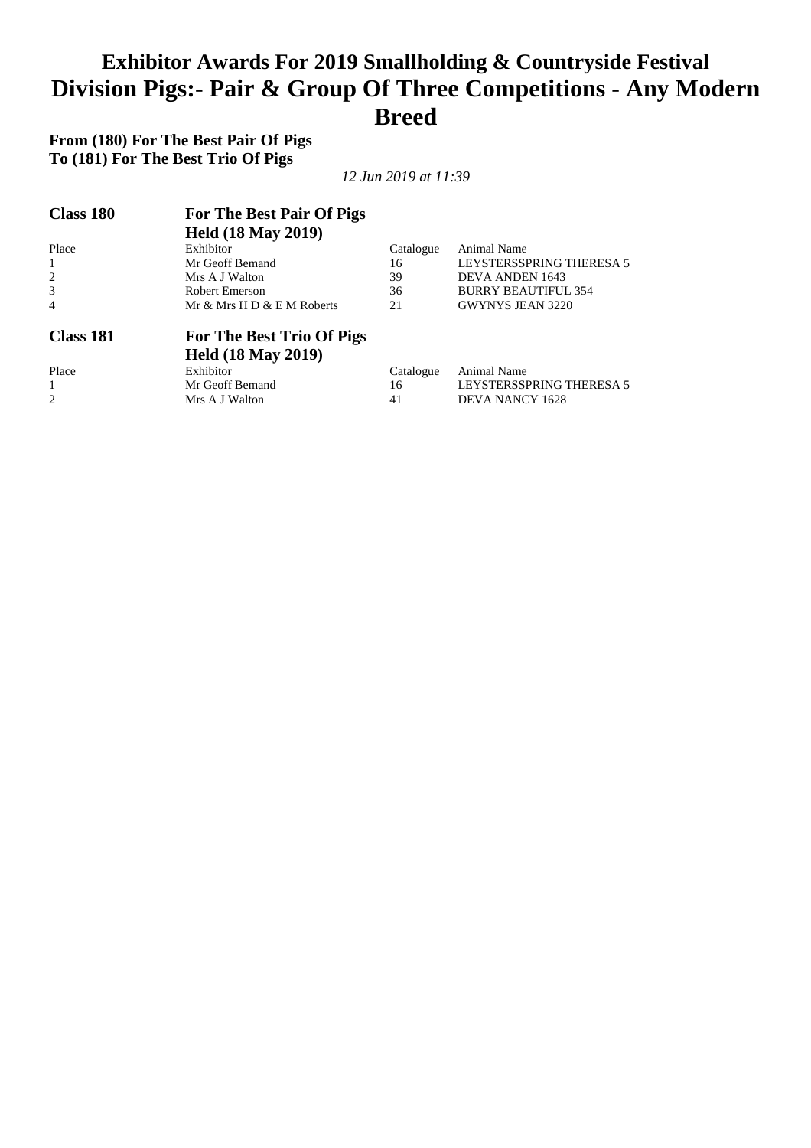#### **Exhibitor Awards For 2019 Smallholding & Countryside Festival Division Pigs:- Pair & Group Of Three Competitions - Any Modern Breed**

**From (180) For The Best Pair Of Pigs To (181) For The Best Trio Of Pigs** 

| <b>Class 180</b> | For The Best Pair Of Pigs  |           |                            |  |
|------------------|----------------------------|-----------|----------------------------|--|
|                  | <b>Held (18 May 2019)</b>  |           |                            |  |
| Place            | Exhibitor                  | Catalogue | Animal Name                |  |
|                  | Mr Geoff Bemand            | 16        | LEYSTERSSPRING THERESA 5   |  |
| 2                | Mrs A J Walton             | 39        | DEVA ANDEN 1643            |  |
| 3                | Robert Emerson             | 36        | <b>BURRY BEAUTIFUL 354</b> |  |
| $\overline{4}$   | Mr & Mrs H D & E M Roberts | 21        | <b>GWYNYS JEAN 3220</b>    |  |
| Class 181        | For The Best Trio Of Pigs  |           |                            |  |
|                  | <b>Held (18 May 2019)</b>  |           |                            |  |
| Place            | Exhibitor                  | Catalogue | Animal Name                |  |
|                  | Mr Geoff Bemand            | 16        | LEYSTERSSPRING THERESA 5   |  |
| 2                | Mrs A J Walton             | 41        | <b>DEVA NANCY 1628</b>     |  |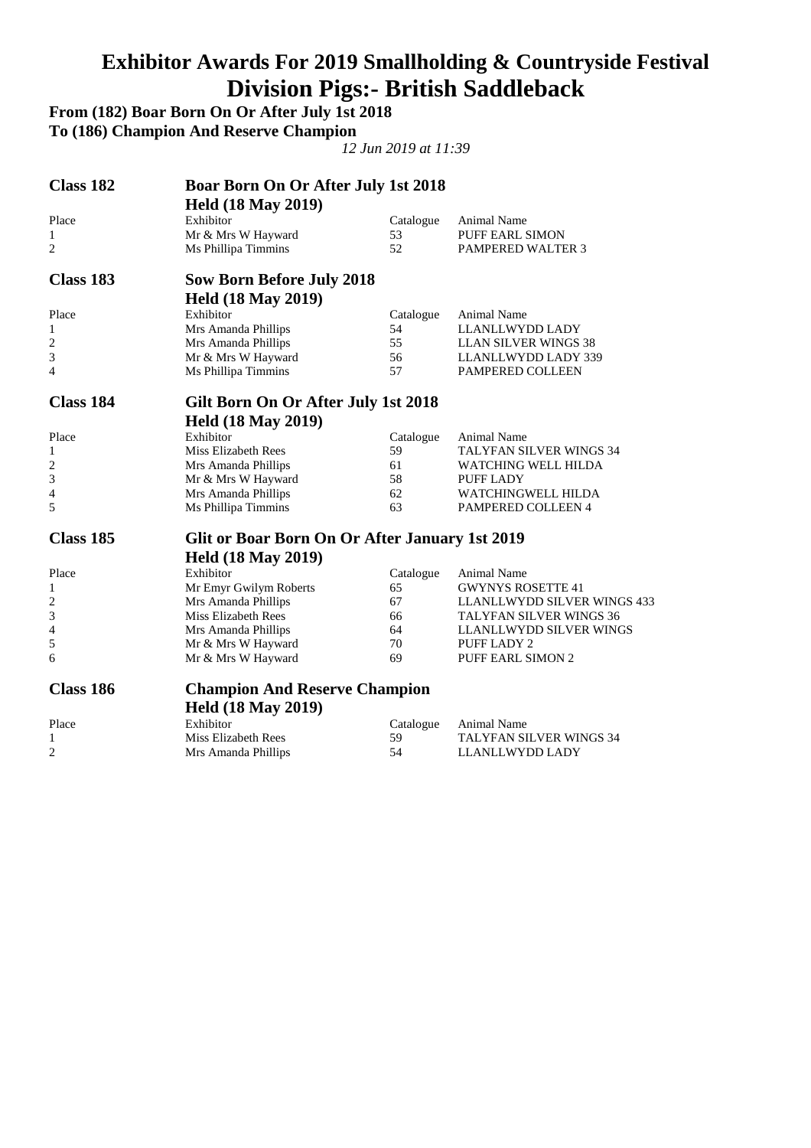### **Exhibitor Awards For 2019 Smallholding & Countryside Festival Division Pigs:- British Saddleback**

**From (182) Boar Born On Or After July 1st 2018** 

**To (186) Champion And Reserve Champion** 

| Class 182      | <b>Boar Born On Or After July 1st 2018</b><br><b>Held (18 May 2019)</b> |           |                                |
|----------------|-------------------------------------------------------------------------|-----------|--------------------------------|
| Place          | Exhibitor                                                               | Catalogue | Animal Name                    |
| 1              | Mr & Mrs W Hayward                                                      | 53        | PUFF EARL SIMON                |
| $\overline{2}$ | Ms Phillipa Timmins                                                     | 52        | <b>PAMPERED WALTER 3</b>       |
| Class 183      | <b>Sow Born Before July 2018</b>                                        |           |                                |
|                | <b>Held (18 May 2019)</b>                                               |           |                                |
| Place          | Exhibitor                                                               | Catalogue | Animal Name                    |
| 1              | Mrs Amanda Phillips                                                     | 54        | LLANLLWYDD LADY                |
| 2              | Mrs Amanda Phillips                                                     | 55        | <b>LLAN SILVER WINGS 38</b>    |
| 3              | Mr & Mrs W Hayward                                                      | 56        | LLANLLWYDD LADY 339            |
| 4              | Ms Phillipa Timmins                                                     | 57        | PAMPERED COLLEEN               |
| Class 184      | Gilt Born On Or After July 1st 2018                                     |           |                                |
|                | <b>Held (18 May 2019)</b>                                               |           |                                |
| Place          | Exhibitor                                                               | Catalogue | <b>Animal Name</b>             |
| 1              | Miss Elizabeth Rees                                                     | 59        | <b>TALYFAN SILVER WINGS 34</b> |
| 2              | Mrs Amanda Phillips                                                     | 61        | WATCHING WELL HILDA            |
| 3              | Mr & Mrs W Hayward                                                      | 58        | PUFF LADY                      |
| 4              | Mrs Amanda Phillips                                                     | 62        | WATCHINGWELL HILDA             |
| 5              | Ms Phillipa Timmins                                                     | 63        | <b>PAMPERED COLLEEN 4</b>      |
| Class 185      | Glit or Boar Born On Or After January 1st 2019                          |           |                                |
|                | <b>Held (18 May 2019)</b>                                               |           |                                |
| Place          | Exhibitor                                                               | Catalogue | Animal Name                    |
| 1              | Mr Emyr Gwilym Roberts                                                  | 65        | <b>GWYNYS ROSETTE 41</b>       |
| 2              | Mrs Amanda Phillips                                                     | 67        | LLANLLWYDD SILVER WINGS 433    |
| 3              | <b>Miss Elizabeth Rees</b>                                              | 66        | TALYFAN SILVER WINGS 36        |
| 4              | Mrs Amanda Phillips                                                     | 64        | LLANLLWYDD SILVER WINGS        |
| 5              | Mr & Mrs W Hayward                                                      | 70        | PUFF LADY 2                    |
| 6              | Mr & Mrs W Hayward                                                      | 69        | PUFF EARL SIMON 2              |
| Class 186      | <b>Champion And Reserve Champion</b>                                    |           |                                |
|                | <b>Held (18 May 2019)</b>                                               |           |                                |
| Place          | Exhibitor                                                               | Catalogue | Animal Name                    |
| $\mathbf{1}$   | Miss Elizabeth Rees                                                     | 59        | TALYFAN SILVER WINGS 34        |
| $\overline{2}$ | Mrs Amanda Phillips                                                     | 54        | LLANLLWYDD LADY                |
|                |                                                                         |           |                                |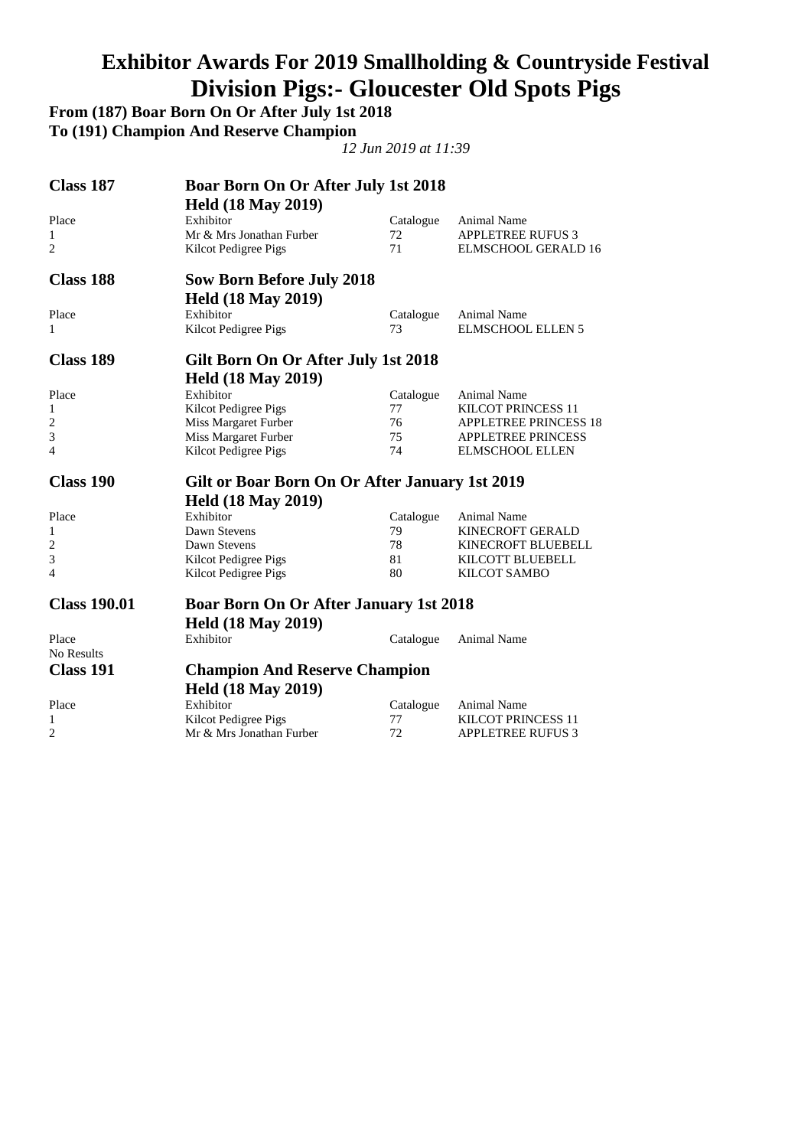### **Exhibitor Awards For 2019 Smallholding & Countryside Festival Division Pigs:- Gloucester Old Spots Pigs**

**From (187) Boar Born On Or After July 1st 2018** 

**To (191) Champion And Reserve Champion** 

| Class 187<br><b>Boar Born On Or After July 1st 2018</b> |                                                |           |                            |
|---------------------------------------------------------|------------------------------------------------|-----------|----------------------------|
|                                                         | <b>Held (18 May 2019)</b>                      |           |                            |
| Place                                                   | Exhibitor                                      | Catalogue | Animal Name                |
| 1                                                       | Mr & Mrs Jonathan Furber                       | 72        | <b>APPLETREE RUFUS 3</b>   |
| $\overline{2}$                                          | Kilcot Pedigree Pigs                           | 71        | <b>ELMSCHOOL GERALD 16</b> |
|                                                         |                                                |           |                            |
| <b>Class 188</b>                                        | <b>Sow Born Before July 2018</b>               |           |                            |
|                                                         | <b>Held (18 May 2019)</b>                      |           |                            |
| Place                                                   | Exhibitor                                      | Catalogue | Animal Name                |
| 1                                                       | Kilcot Pedigree Pigs                           | 73        | <b>ELMSCHOOL ELLEN 5</b>   |
| <b>Class 189</b>                                        | Gilt Born On Or After July 1st 2018            |           |                            |
|                                                         | <b>Held (18 May 2019)</b>                      |           |                            |
| Place                                                   | Exhibitor                                      | Catalogue | Animal Name                |
| 1                                                       | Kilcot Pedigree Pigs                           | 77        | <b>KILCOT PRINCESS 11</b>  |
| 2                                                       | Miss Margaret Furber                           | 76        | APPLETREE PRINCESS 18      |
| 3                                                       | Miss Margaret Furber                           | 75        | <b>APPLETREE PRINCESS</b>  |
| 4                                                       | Kilcot Pedigree Pigs                           | 74        | <b>ELMSCHOOL ELLEN</b>     |
| <b>Class 190</b>                                        | Gilt or Boar Born On Or After January 1st 2019 |           |                            |
|                                                         | <b>Held (18 May 2019)</b>                      |           |                            |
| Place                                                   | Exhibitor                                      | Catalogue | Animal Name                |
| 1                                                       | Dawn Stevens                                   | 79        | KINECROFT GERALD           |
| 2                                                       | Dawn Stevens                                   | 78        | KINECROFT BLUEBELL         |
| 3                                                       | Kilcot Pedigree Pigs                           | 81        | KILCOTT BLUEBELL           |
| 4                                                       | Kilcot Pedigree Pigs                           | 80        | KILCOT SAMBO               |
| <b>Class 190.01</b>                                     | <b>Boar Born On Or After January 1st 2018</b>  |           |                            |
|                                                         |                                                |           |                            |
|                                                         | <b>Held (18 May 2019)</b>                      |           |                            |
| Place                                                   | Exhibitor                                      | Catalogue | Animal Name                |
| No Results                                              |                                                |           |                            |
| <b>Class 191</b>                                        | <b>Champion And Reserve Champion</b>           |           |                            |
|                                                         | <b>Held (18 May 2019)</b>                      |           |                            |
| Place                                                   | Exhibitor                                      | Catalogue | Animal Name                |
| 1                                                       | Kilcot Pedigree Pigs                           | 77        | <b>KILCOT PRINCESS 11</b>  |
| 2                                                       | Mr & Mrs Jonathan Furber                       | 72        | <b>APPLETREE RUFUS 3</b>   |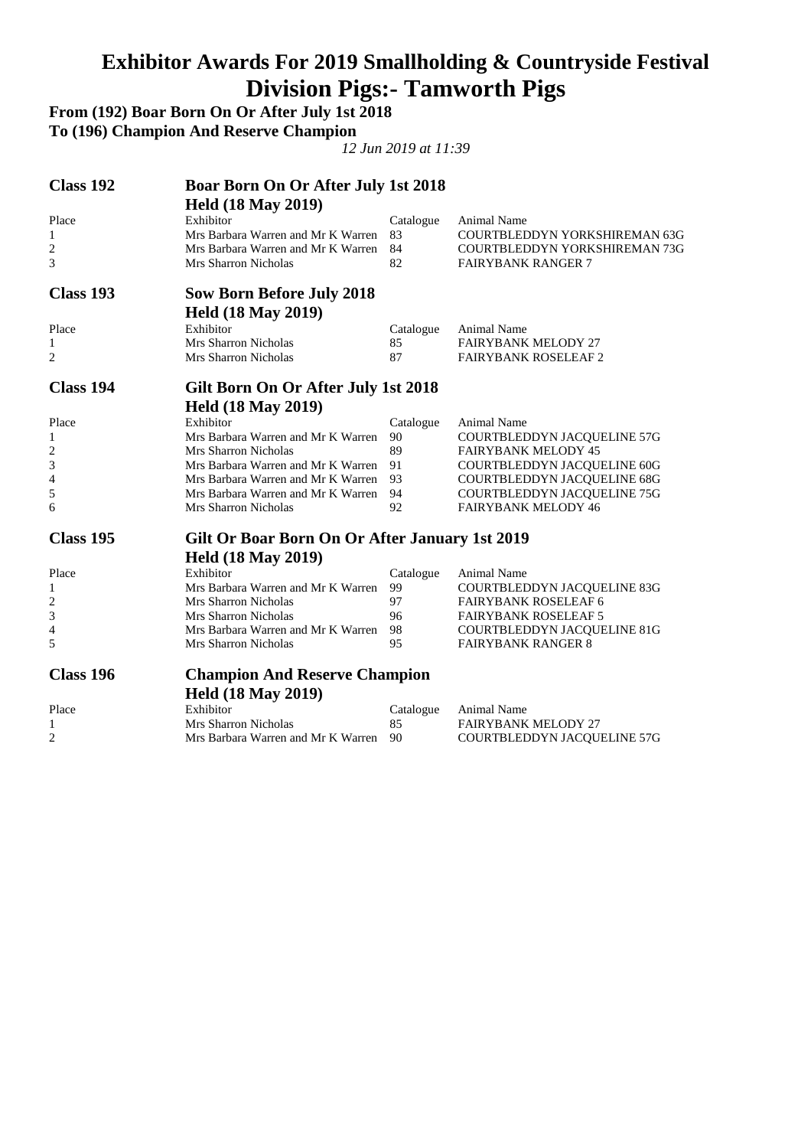### **Exhibitor Awards For 2019 Smallholding & Countryside Festival Division Pigs:- Tamworth Pigs**

**From (192) Boar Born On Or After July 1st 2018** 

**To (196) Champion And Reserve Champion** 

| Class 192        | <b>Boar Born On Or After July 1st 2018</b>     |           |                               |
|------------------|------------------------------------------------|-----------|-------------------------------|
|                  | <b>Held (18 May 2019)</b>                      |           |                               |
| Place            | Exhibitor                                      | Catalogue | <b>Animal Name</b>            |
| 1                | Mrs Barbara Warren and Mr K Warren             | 83        | COURTBLEDDYN YORKSHIREMAN 63G |
| 2                | Mrs Barbara Warren and Mr K Warren             | 84        | COURTBLEDDYN YORKSHIREMAN 73G |
| 3                | Mrs Sharron Nicholas                           | 82        | <b>FAIRYBANK RANGER 7</b>     |
| Class 193        | <b>Sow Born Before July 2018</b>               |           |                               |
|                  | <b>Held (18 May 2019)</b>                      |           |                               |
| Place            | Exhibitor                                      | Catalogue | Animal Name                   |
| 1                | Mrs Sharron Nicholas                           | 85        | <b>FAIRYBANK MELODY 27</b>    |
| 2                | Mrs Sharron Nicholas                           | 87        | <b>FAIRYBANK ROSELEAF 2</b>   |
| <b>Class 194</b> | Gilt Born On Or After July 1st 2018            |           |                               |
|                  | <b>Held (18 May 2019)</b>                      |           |                               |
| Place            | Exhibitor                                      | Catalogue | <b>Animal Name</b>            |
| 1                | Mrs Barbara Warren and Mr K Warren             | 90        | COURTBLEDDYN JACQUELINE 57G   |
| $\overline{c}$   | Mrs Sharron Nicholas                           | 89        | <b>FAIRYBANK MELODY 45</b>    |
| 3                | Mrs Barbara Warren and Mr K Warren             | 91        | COURTBLEDDYN JACQUELINE 60G   |
| 4                | Mrs Barbara Warren and Mr K Warren             | 93        | COURTBLEDDYN JACQUELINE 68G   |
| 5                | Mrs Barbara Warren and Mr K Warren             | 94        | COURTBLEDDYN JACQUELINE 75G   |
| 6                | Mrs Sharron Nicholas                           | 92        | <b>FAIRYBANK MELODY 46</b>    |
| Class 195        | Gilt Or Boar Born On Or After January 1st 2019 |           |                               |
|                  | <b>Held (18 May 2019)</b>                      |           |                               |
| Place            | Exhibitor                                      | Catalogue | Animal Name                   |
| 1                | Mrs Barbara Warren and Mr K Warren             | 99        | COURTBLEDDYN JACQUELINE 83G   |
| $\overline{c}$   | Mrs Sharron Nicholas                           | 97        | <b>FAIRYBANK ROSELEAF 6</b>   |
| 3                | Mrs Sharron Nicholas                           | 96        | <b>FAIRYBANK ROSELEAF 5</b>   |
| 4                | Mrs Barbara Warren and Mr K Warren             | 98        | COURTBLEDDYN JACQUELINE 81G   |
| 5                | Mrs Sharron Nicholas                           | 95        | <b>FAIRYBANK RANGER 8</b>     |
| Class 196        | <b>Champion And Reserve Champion</b>           |           |                               |
|                  | <b>Held (18 May 2019)</b>                      |           |                               |
| Place            | Exhibitor                                      | Catalogue | Animal Name                   |
| 1                | Mrs Sharron Nicholas                           | 85        | <b>FAIRYBANK MELODY 27</b>    |
| 2                | Mrs Barbara Warren and Mr K Warren             | 90        | COURTBLEDDYN JACQUELINE 57G   |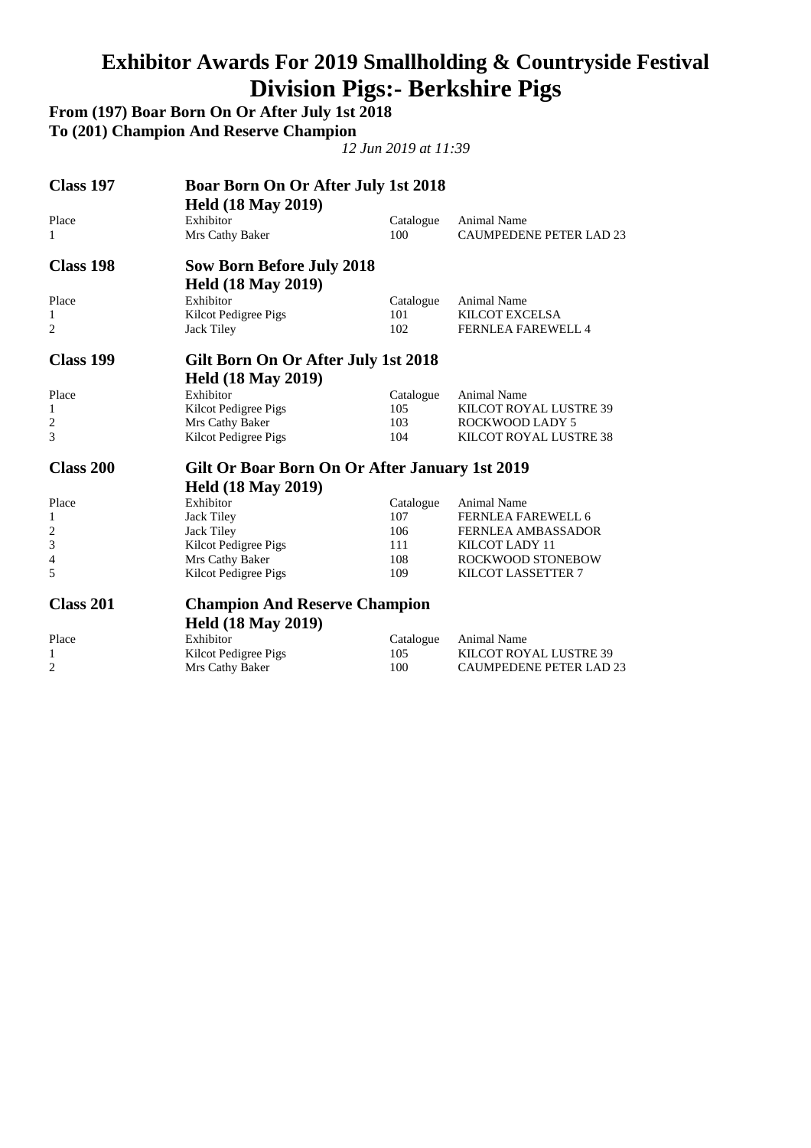### **Exhibitor Awards For 2019 Smallholding & Countryside Festival Division Pigs:- Berkshire Pigs**

**From (197) Boar Born On Or After July 1st 2018 To (201) Champion And Reserve Champion** 

| <b>Class 197</b> | <b>Boar Born On Or After July 1st 2018</b><br><b>Held (18 May 2019)</b> |           |                                |
|------------------|-------------------------------------------------------------------------|-----------|--------------------------------|
| Place            | Exhibitor                                                               | Catalogue | <b>Animal Name</b>             |
| 1                | Mrs Cathy Baker                                                         | 100       | <b>CAUMPEDENE PETER LAD 23</b> |
| Class 198        | <b>Sow Born Before July 2018</b>                                        |           |                                |
|                  | <b>Held (18 May 2019)</b>                                               |           |                                |
| Place            | Exhibitor                                                               | Catalogue | <b>Animal Name</b>             |
| 1                | Kilcot Pedigree Pigs                                                    | 101       | KILCOT EXCELSA                 |
| $\overline{c}$   | Jack Tiley                                                              | 102       | <b>FERNLEA FAREWELL 4</b>      |
| Class 199        | Gilt Born On Or After July 1st 2018                                     |           |                                |
|                  | <b>Held (18 May 2019)</b>                                               |           |                                |
| Place            | Exhibitor                                                               | Catalogue | <b>Animal Name</b>             |
| 1                | Kilcot Pedigree Pigs                                                    | 105       | KILCOT ROYAL LUSTRE 39         |
| 2                | Mrs Cathy Baker                                                         | 103       | <b>ROCKWOOD LADY 5</b>         |
| 3                | Kilcot Pedigree Pigs                                                    | 104       | KILCOT ROYAL LUSTRE 38         |
| Class 200        | Gilt Or Boar Born On Or After January 1st 2019                          |           |                                |
|                  | <b>Held (18 May 2019)</b>                                               |           |                                |
| Place            | Exhibitor                                                               | Catalogue | Animal Name                    |
| 1                | <b>Jack Tiley</b>                                                       | 107       | <b>FERNLEA FAREWELL 6</b>      |
| 2                | Jack Tiley                                                              | 106       | <b>FERNLEA AMBASSADOR</b>      |
| 3                | Kilcot Pedigree Pigs                                                    | 111       | KILCOT LADY 11                 |
| 4                | Mrs Cathy Baker                                                         | 108       | ROCKWOOD STONEBOW              |
| 5                | Kilcot Pedigree Pigs                                                    | 109       | KILCOT LASSETTER 7             |
| <b>Class 201</b> | <b>Champion And Reserve Champion</b>                                    |           |                                |
|                  | <b>Held (18 May 2019)</b>                                               |           |                                |
| Place            | Exhibitor                                                               | Catalogue | Animal Name                    |
| 1                | Kilcot Pedigree Pigs                                                    | 105       | KILCOT ROYAL LUSTRE 39         |
| 2                | Mrs Cathy Baker                                                         | 100       | <b>CAUMPEDENE PETER LAD 23</b> |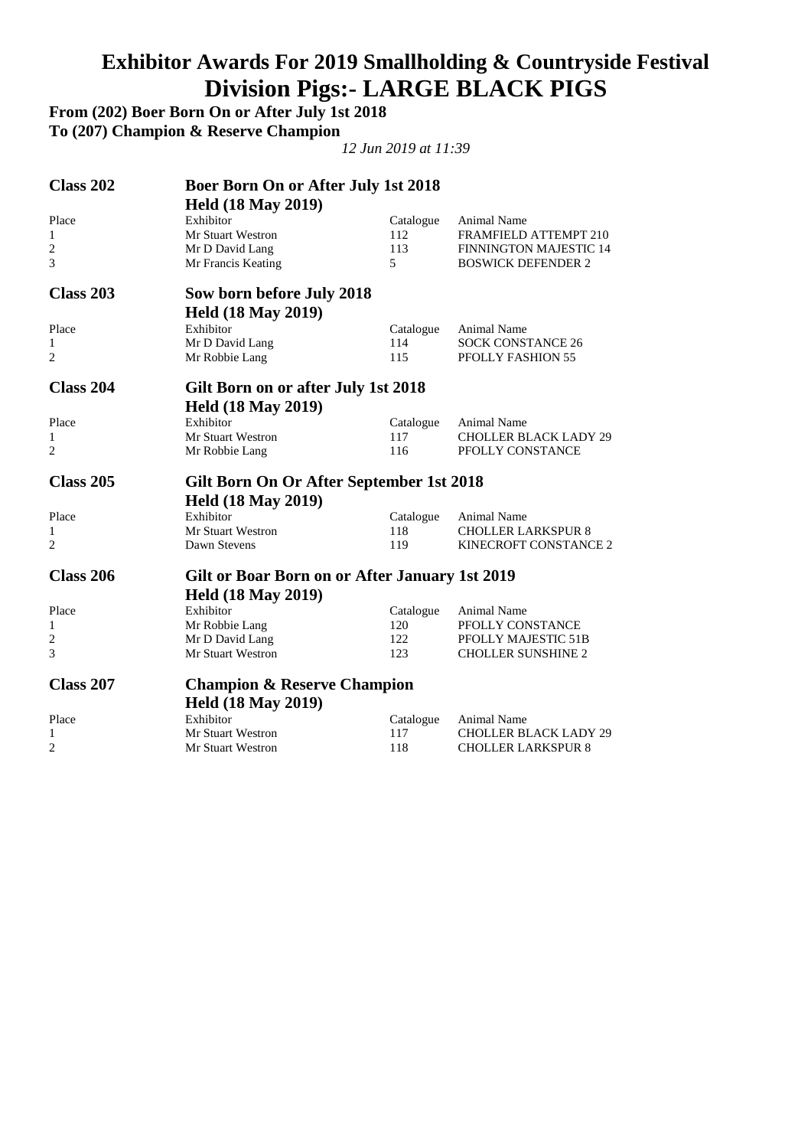## **Exhibitor Awards For 2019 Smallholding & Countryside Festival Division Pigs:- LARGE BLACK PIGS**

**From (202) Boer Born On or After July 1st 2018** 

**To (207) Champion & Reserve Champion** 

| Class 202<br><b>Boer Born On or After July 1st 2018</b> |                                                |                                         |
|---------------------------------------------------------|------------------------------------------------|-----------------------------------------|
| <b>Held (18 May 2019)</b>                               |                                                |                                         |
| Exhibitor<br>Place                                      | Catalogue                                      | Animal Name                             |
| $\mathbf{1}$<br><b>Mr Stuart Westron</b>                | 112                                            | FRAMFIELD ATTEMPT 210                   |
| 2<br>Mr D David Lang                                    | 113                                            | <b>FINNINGTON MAJESTIC 14</b>           |
| 3<br>Mr Francis Keating                                 | 5                                              | <b>BOSWICK DEFENDER 2</b>               |
| Class 203<br>Sow born before July 2018                  |                                                |                                         |
| <b>Held (18 May 2019)</b>                               |                                                |                                         |
| Exhibitor<br>Place                                      | Catalogue                                      | Animal Name                             |
| 1<br>Mr D David Lang                                    | 114                                            | <b>SOCK CONSTANCE 26</b>                |
| 2<br>Mr Robbie Lang                                     | 115                                            | PFOLLY FASHION 55                       |
| Class 204                                               | Gilt Born on or after July 1st 2018            |                                         |
| <b>Held (18 May 2019)</b>                               |                                                |                                         |
| Exhibitor<br>Place                                      | Catalogue                                      | Animal Name                             |
| 1<br>Mr Stuart Westron                                  | 117                                            | <b>CHOLLER BLACK LADY 29</b>            |
| $\overline{2}$<br>Mr Robbie Lang                        | 116                                            | PFOLLY CONSTANCE                        |
|                                                         |                                                |                                         |
| Class 205                                               | Gilt Born On Or After September 1st 2018       |                                         |
|                                                         |                                                |                                         |
| <b>Held (18 May 2019)</b><br>Exhibitor<br>Place         |                                                | Animal Name                             |
| $\mathbf{1}$<br><b>Mr Stuart Westron</b>                | Catalogue<br>118                               | <b>CHOLLER LARKSPUR 8</b>               |
| $\overline{2}$<br>Dawn Stevens                          | 119                                            | KINECROFT CONSTANCE 2                   |
| <b>Class 206</b>                                        |                                                |                                         |
|                                                         | Gilt or Boar Born on or After January 1st 2019 |                                         |
| <b>Held (18 May 2019)</b><br>Exhibitor                  |                                                |                                         |
| Place<br>1                                              | Catalogue<br>120                               | Animal Name                             |
| Mr Robbie Lang<br>2                                     | 122                                            | PFOLLY CONSTANCE<br>PFOLLY MAJESTIC 51B |
| Mr D David Lang<br>3<br><b>Mr Stuart Westron</b>        | 123                                            | <b>CHOLLER SUNSHINE 2</b>               |
| <b>Class 207</b>                                        | <b>Champion &amp; Reserve Champion</b>         |                                         |
|                                                         |                                                |                                         |
| <b>Held (18 May 2019)</b><br>Exhibitor<br>Place         |                                                | Animal Name                             |
| Mr Stuart Westron<br>1                                  | Catalogue<br>117                               | <b>CHOLLER BLACK LADY 29</b>            |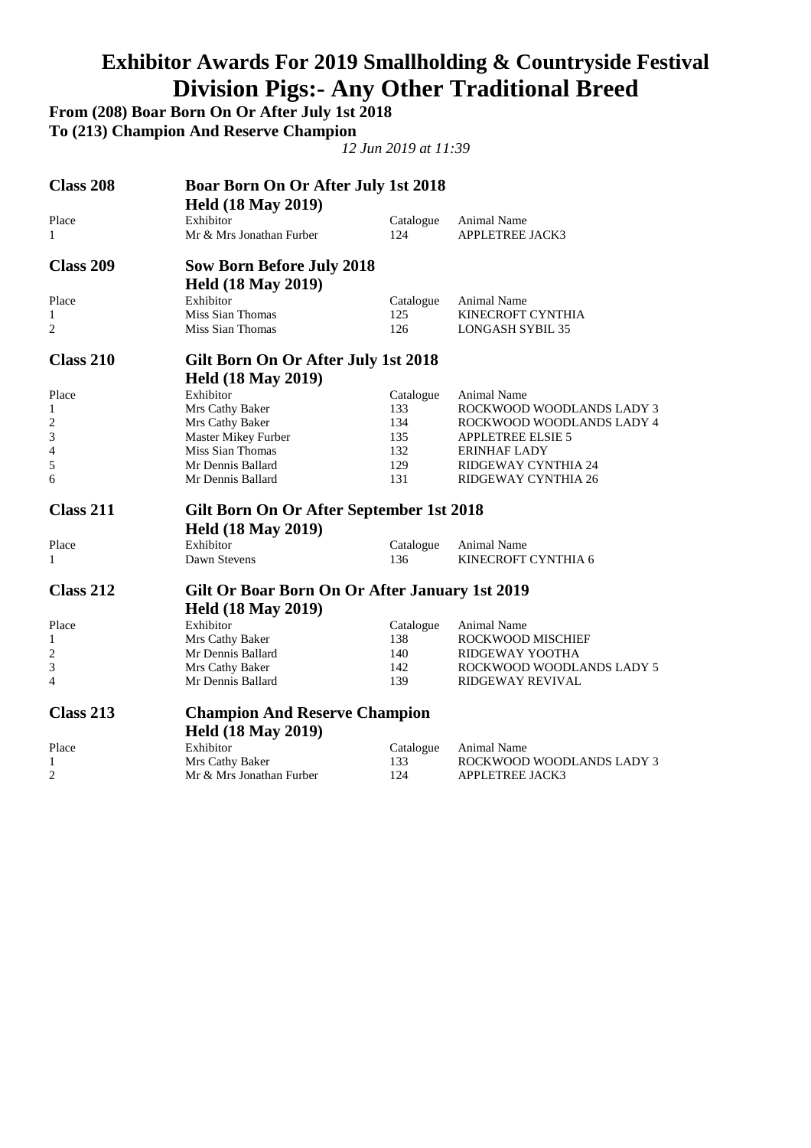## **Exhibitor Awards For 2019 Smallholding & Countryside Festival Division Pigs:- Any Other Traditional Breed**

**From (208) Boar Born On Or After July 1st 2018** 

**To (213) Champion And Reserve Champion** 

| <b>Class 208</b>        | Boar Born On Or After July 1st 2018<br><b>Held (18 May 2019)</b> |           |                           |
|-------------------------|------------------------------------------------------------------|-----------|---------------------------|
| Place                   | Exhibitor                                                        | Catalogue | Animal Name               |
| 1                       | Mr & Mrs Jonathan Furber                                         | 124       | <b>APPLETREE JACK3</b>    |
| <b>Class 209</b>        | <b>Sow Born Before July 2018</b>                                 |           |                           |
|                         | <b>Held (18 May 2019)</b>                                        |           |                           |
| Place                   | Exhibitor                                                        | Catalogue | Animal Name               |
| 1                       | Miss Sian Thomas                                                 | 125       | KINECROFT CYNTHIA         |
| 2                       | Miss Sian Thomas                                                 | 126       | <b>LONGASH SYBIL 35</b>   |
| <b>Class 210</b>        | Gilt Born On Or After July 1st 2018                              |           |                           |
|                         | <b>Held (18 May 2019)</b>                                        |           |                           |
| Place                   | Exhibitor                                                        | Catalogue | Animal Name               |
| 1                       | Mrs Cathy Baker                                                  | 133       | ROCKWOOD WOODLANDS LADY 3 |
| $\overline{c}$          | Mrs Cathy Baker                                                  | 134       | ROCKWOOD WOODLANDS LADY 4 |
| 3                       | Master Mikey Furber                                              | 135       | <b>APPLETREE ELSIE 5</b>  |
| 4                       | Miss Sian Thomas                                                 | 132       | <b>ERINHAF LADY</b>       |
| 5                       | Mr Dennis Ballard                                                | 129       | RIDGEWAY CYNTHIA 24       |
| 6                       | Mr Dennis Ballard                                                | 131       | RIDGEWAY CYNTHIA 26       |
| <b>Class 211</b>        | Gilt Born On Or After September 1st 2018                         |           |                           |
|                         | <b>Held (18 May 2019)</b>                                        |           |                           |
| Place                   | Exhibitor                                                        | Catalogue | Animal Name               |
| $\mathbf{1}$            | Dawn Stevens                                                     | 136       | KINECROFT CYNTHIA 6       |
| <b>Class 212</b>        | Gilt Or Boar Born On Or After January 1st 2019                   |           |                           |
|                         | <b>Held (18 May 2019)</b>                                        |           |                           |
| Place                   | Exhibitor                                                        | Catalogue | Animal Name               |
| 1                       | Mrs Cathy Baker                                                  | 138       | ROCKWOOD MISCHIEF         |
| $\overline{\mathbf{c}}$ | Mr Dennis Ballard                                                | 140       | RIDGEWAY YOOTHA           |
| 3                       | Mrs Cathy Baker                                                  | 142       | ROCKWOOD WOODLANDS LADY 5 |
| 4                       | Mr Dennis Ballard                                                | 139       | RIDGEWAY REVIVAL          |
| <b>Class 213</b>        | <b>Champion And Reserve Champion</b>                             |           |                           |
|                         | <b>Held (18 May 2019)</b>                                        |           |                           |
| Place                   | Exhibitor                                                        | Catalogue | Animal Name               |
| 1                       | Mrs Cathy Baker                                                  | 133       | ROCKWOOD WOODLANDS LADY 3 |
| 2                       | Mr & Mrs Jonathan Furber                                         | 124       | <b>APPLETREE JACK3</b>    |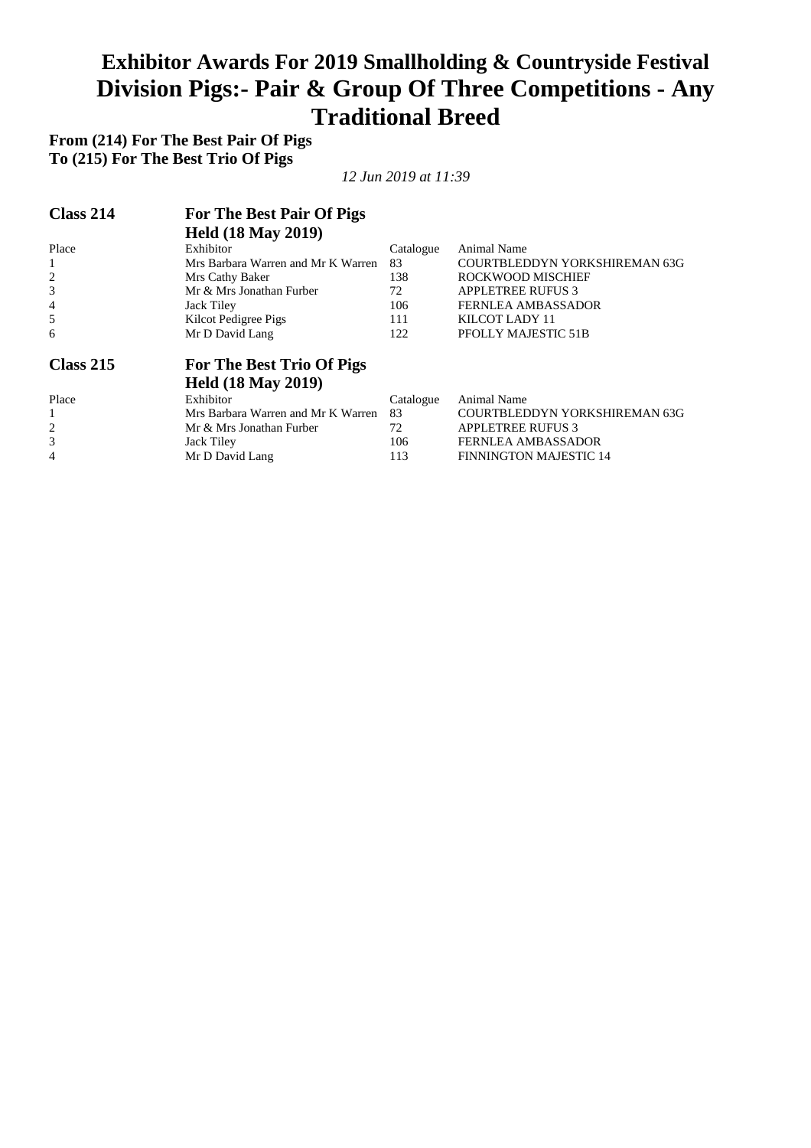#### **Exhibitor Awards For 2019 Smallholding & Countryside Festival Division Pigs:- Pair & Group Of Three Competitions - Any Traditional Breed**

**From (214) For The Best Pair Of Pigs To (215) For The Best Trio Of Pigs** 

| Class 214      | For The Best Pair Of Pigs          |           |                               |
|----------------|------------------------------------|-----------|-------------------------------|
|                | <b>Held (18 May 2019)</b>          |           |                               |
| Place          | Exhibitor                          | Catalogue | Animal Name                   |
| 1              | Mrs Barbara Warren and Mr K Warren | 83        | COURTBLEDDYN YORKSHIREMAN 63G |
| $\overline{c}$ | Mrs Cathy Baker                    | 138       | ROCKWOOD MISCHIEF             |
| 3              | Mr & Mrs Jonathan Furber           | 72        | <b>APPLETREE RUFUS 3</b>      |
| 4              | Jack Tiley                         | 106       | <b>FERNLEA AMBASSADOR</b>     |
| 5              | Kilcot Pedigree Pigs               | 111       | KILCOT LADY 11                |
| 6              | Mr D David Lang                    | 122       | PFOLLY MAJESTIC 51B           |
| Class 215      | For The Best Trio Of Pigs          |           |                               |
|                | <b>Held (18 May 2019)</b>          |           |                               |
| Place          | Exhibitor                          | Catalogue | Animal Name                   |
| 1              | Mrs Barbara Warren and Mr K Warren | 83        | COURTBLEDDYN YORKSHIREMAN 63G |
| $\overline{2}$ | Mr & Mrs Jonathan Furber           | 72        | <b>APPLETREE RUFUS 3</b>      |
| 3              | Jack Tiley                         | 106       | <b>FERNLEA AMBASSADOR</b>     |
| 4              | Mr D David Lang                    | 113       | <b>FINNINGTON MAJESTIC 14</b> |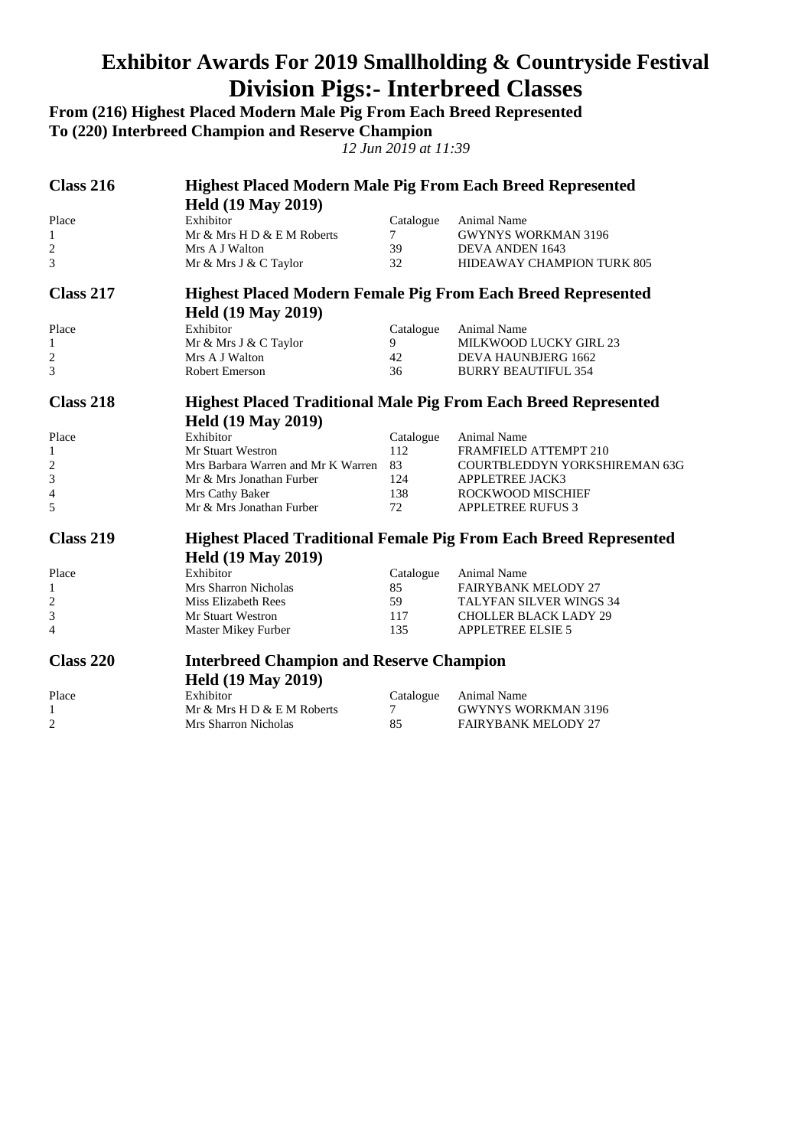### **Exhibitor Awards For 2019 Smallholding & Countryside Festival Division Pigs:- Interbreed Classes**

**From (216) Highest Placed Modern Male Pig From Each Breed Represented** 

**To (220) Interbreed Champion and Reserve Champion** 

| Class 216               | <b>Highest Placed Modern Male Pig From Each Breed Represented</b>      |                                                                     |                                                                          |  |  |  |
|-------------------------|------------------------------------------------------------------------|---------------------------------------------------------------------|--------------------------------------------------------------------------|--|--|--|
|                         | <b>Held (19 May 2019)</b>                                              |                                                                     |                                                                          |  |  |  |
| Place                   | Exhibitor                                                              | Catalogue                                                           | Animal Name                                                              |  |  |  |
| $\mathbf{1}$            | Mr & Mrs H D & E M Roberts                                             | $7\degree$                                                          | <b>GWYNYS WORKMAN 3196</b>                                               |  |  |  |
| $\overline{c}$          | Mrs A J Walton                                                         | 39                                                                  | DEVA ANDEN 1643                                                          |  |  |  |
| 3                       | Mr & Mrs J & C Taylor                                                  | 32                                                                  | HIDEAWAY CHAMPION TURK 805                                               |  |  |  |
| Class 217               |                                                                        | <b>Highest Placed Modern Female Pig From Each Breed Represented</b> |                                                                          |  |  |  |
|                         | <b>Held (19 May 2019)</b>                                              |                                                                     |                                                                          |  |  |  |
| Place                   | Exhibitor                                                              | Catalogue                                                           | Animal Name                                                              |  |  |  |
| 1                       | Mr & Mrs J & C Taylor                                                  | 9                                                                   | MILKWOOD LUCKY GIRL 23                                                   |  |  |  |
| $\overline{2}$          | Mrs A J Walton                                                         | 42                                                                  | DEVA HAUNBJERG 1662                                                      |  |  |  |
| 3                       | <b>Robert Emerson</b>                                                  | 36 <sup>7</sup>                                                     | <b>BURRY BEAUTIFUL 354</b>                                               |  |  |  |
| <b>Class 218</b>        | <b>Highest Placed Traditional Male Pig From Each Breed Represented</b> |                                                                     |                                                                          |  |  |  |
|                         | <b>Held (19 May 2019)</b>                                              |                                                                     |                                                                          |  |  |  |
| Place                   | Exhibitor                                                              | Catalogue                                                           | Animal Name                                                              |  |  |  |
| 1                       | Mr Stuart Westron                                                      | 112                                                                 | FRAMFIELD ATTEMPT 210                                                    |  |  |  |
| $\overline{c}$          | Mrs Barbara Warren and Mr K Warren                                     | 83                                                                  | COURTBLEDDYN YORKSHIREMAN 63G                                            |  |  |  |
| 3                       | Mr & Mrs Jonathan Furber                                               | 124                                                                 | <b>APPLETREE JACK3</b>                                                   |  |  |  |
| 4                       | Mrs Cathy Baker                                                        | 138                                                                 | ROCKWOOD MISCHIEF                                                        |  |  |  |
| 5                       | Mr & Mrs Jonathan Furber                                               | 72                                                                  | <b>APPLETREE RUFUS 3</b>                                                 |  |  |  |
| <b>Class 219</b>        |                                                                        |                                                                     | <b>Highest Placed Traditional Female Pig From Each Breed Represented</b> |  |  |  |
|                         | <b>Held (19 May 2019)</b>                                              |                                                                     |                                                                          |  |  |  |
| Place                   | Exhibitor                                                              | Catalogue                                                           | Animal Name                                                              |  |  |  |
| 1                       | Mrs Sharron Nicholas                                                   | 85                                                                  | <b>FAIRYBANK MELODY 27</b>                                               |  |  |  |
| $\overline{\mathbf{c}}$ | Miss Elizabeth Rees                                                    | 59                                                                  | TALYFAN SILVER WINGS 34                                                  |  |  |  |
| 3                       | <b>Mr Stuart Westron</b>                                               | 117                                                                 | <b>CHOLLER BLACK LADY 29</b>                                             |  |  |  |
| $\overline{4}$          | Master Mikey Furber                                                    | 135                                                                 | <b>APPLETREE ELSIE 5</b>                                                 |  |  |  |
| <b>Class 220</b>        | <b>Interbreed Champion and Reserve Champion</b>                        |                                                                     |                                                                          |  |  |  |
|                         | <b>Held (19 May 2019)</b>                                              |                                                                     |                                                                          |  |  |  |
| Place                   | Exhibitor                                                              | Catalogue                                                           | Animal Name                                                              |  |  |  |
| 1                       | Mr & Mrs H D & E M Roberts                                             | 7                                                                   | <b>GWYNYS WORKMAN 3196</b>                                               |  |  |  |
| $\overline{c}$          | Mrs Sharron Nicholas                                                   | 85                                                                  | <b>FAIRYBANK MELODY 27</b>                                               |  |  |  |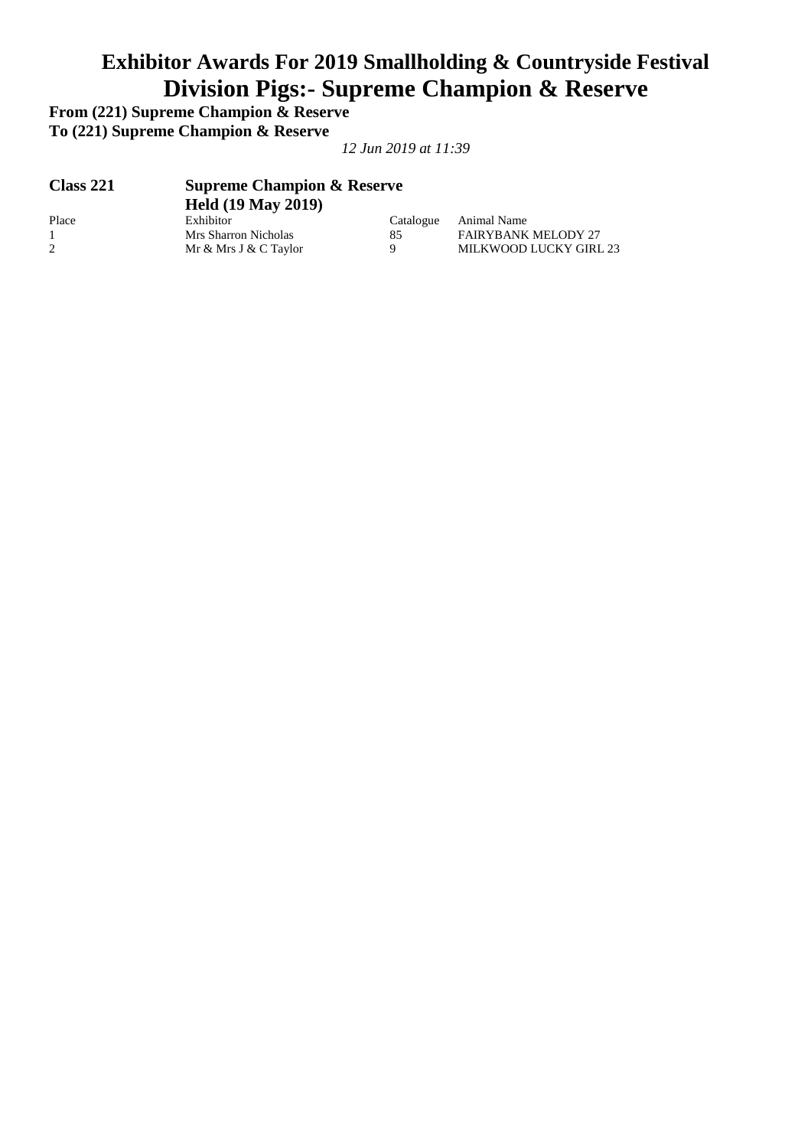## **Exhibitor Awards For 2019 Smallholding & Countryside Festival Division Pigs:- Supreme Champion & Reserve**

**From (221) Supreme Champion & Reserve To (221) Supreme Champion & Reserve** 

| <b>Class 221</b> | <b>Supreme Champion &amp; Reserve</b><br><b>Held (19 May 2019)</b> |           |                            |  |
|------------------|--------------------------------------------------------------------|-----------|----------------------------|--|
| Place            | Exhibitor                                                          | Catalogue | Animal Name                |  |
|                  | Mrs Sharron Nicholas                                               | 85        | <b>FAIRYBANK MELODY 27</b> |  |
|                  | Mr & Mrs J & C Taylor                                              | Q         | MILKWOOD LUCKY GIRL 23     |  |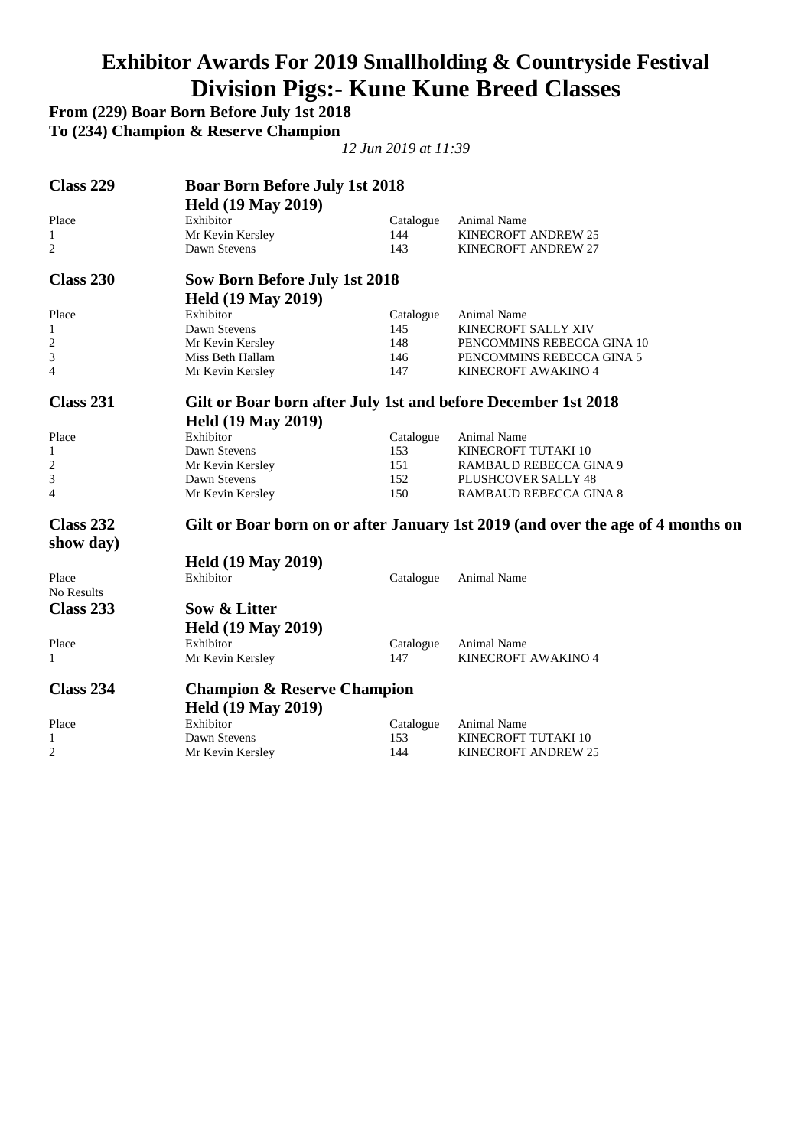### **Exhibitor Awards For 2019 Smallholding & Countryside Festival Division Pigs:- Kune Kune Breed Classes**

**From (229) Boar Born Before July 1st 2018** 

**To (234) Champion & Reserve Champion** 

| <b>Class 229</b> | <b>Boar Born Before July 1st 2018</b><br><b>Held (19 May 2019)</b> |            |                                                                                 |  |  |
|------------------|--------------------------------------------------------------------|------------|---------------------------------------------------------------------------------|--|--|
| Place            | Exhibitor                                                          | Catalogue  | Animal Name                                                                     |  |  |
| $\mathbf{1}$     | Mr Kevin Kersley                                                   | 144        | <b>KINECROFT ANDREW 25</b>                                                      |  |  |
| 2                | Dawn Stevens                                                       | 143        | KINECROFT ANDREW 27                                                             |  |  |
| Class 230        | <b>Sow Born Before July 1st 2018</b>                               |            |                                                                                 |  |  |
|                  | <b>Held (19 May 2019)</b>                                          |            |                                                                                 |  |  |
| Place            | Exhibitor                                                          | Catalogue  | Animal Name                                                                     |  |  |
| 1                | Dawn Stevens                                                       | 145        | KINECROFT SALLY XIV                                                             |  |  |
| 2                | Mr Kevin Kersley                                                   | 148        | PENCOMMINS REBECCA GINA 10                                                      |  |  |
| 3                | Miss Beth Hallam                                                   | 146        | PENCOMMINS REBECCA GINA 5                                                       |  |  |
| 4                | Mr Kevin Kersley                                                   | 147        | KINECROFT AWAKINO 4                                                             |  |  |
| Class 231        | Gilt or Boar born after July 1st and before December 1st 2018      |            |                                                                                 |  |  |
|                  | <b>Held (19 May 2019)</b>                                          |            |                                                                                 |  |  |
| Place            | Exhibitor                                                          | Catalogue  | Animal Name                                                                     |  |  |
| 1                | Dawn Stevens                                                       | 153        | KINECROFT TUTAKI 10                                                             |  |  |
| $\overline{c}$   | Mr Kevin Kersley                                                   | 151        | RAMBAUD REBECCA GINA 9                                                          |  |  |
| 3                | Dawn Stevens                                                       | 152        | PLUSHCOVER SALLY 48                                                             |  |  |
| $\overline{4}$   | Mr Kevin Kersley                                                   | 150        | <b>RAMBAUD REBECCA GINA 8</b>                                                   |  |  |
| Class 232        |                                                                    |            | Gilt or Boar born on or after January 1st 2019 (and over the age of 4 months on |  |  |
| show day)        |                                                                    |            |                                                                                 |  |  |
|                  | <b>Held (19 May 2019)</b>                                          |            |                                                                                 |  |  |
| Place            | Exhibitor                                                          | Catalogue  | Animal Name                                                                     |  |  |
| No Results       |                                                                    |            |                                                                                 |  |  |
| Class 233        | Sow & Litter                                                       |            |                                                                                 |  |  |
|                  | <b>Held (19 May 2019)</b>                                          |            |                                                                                 |  |  |
| Place            | Exhibitor                                                          | Catalogue  | Animal Name                                                                     |  |  |
| 1                | Mr Kevin Kersley                                                   | 147        | KINECROFT AWAKINO 4                                                             |  |  |
| Class 234        | <b>Champion &amp; Reserve Champion</b>                             |            |                                                                                 |  |  |
|                  |                                                                    |            |                                                                                 |  |  |
|                  | <b>Held (19 May 2019)</b><br>Exhibitor                             |            |                                                                                 |  |  |
| Place            | Dawn Stevens                                                       | Catalogue  | Animal Name                                                                     |  |  |
| 1                |                                                                    | 153<br>144 | KINECROFT TUTAKI 10                                                             |  |  |
| 2                | Mr Kevin Kersley                                                   |            | KINECROFT ANDREW 25                                                             |  |  |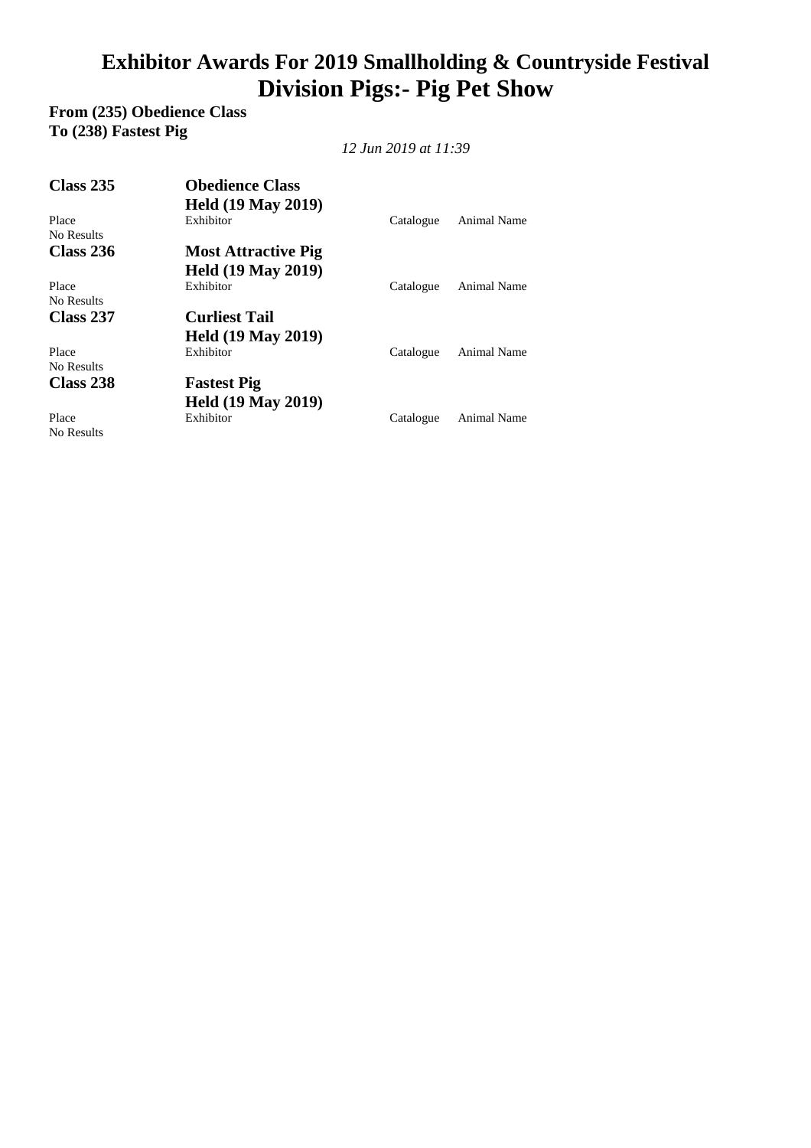# **Exhibitor Awards For 2019 Smallholding & Countryside Festival Division Pigs:- Pig Pet Show**

**From (235) Obedience Class To (238) Fastest Pig** 

*12 Jun 2019 at 11:39* 

| <b>Class 235</b>    | <b>Obedience Class</b>     |           |             |
|---------------------|----------------------------|-----------|-------------|
|                     | <b>Held (19 May 2019)</b>  |           |             |
| Place<br>No Results | Exhibitor                  | Catalogue | Animal Name |
| <b>Class 236</b>    | <b>Most Attractive Pig</b> |           |             |
|                     | <b>Held (19 May 2019)</b>  |           |             |
| Place<br>No Results | Exhibitor                  | Catalogue | Animal Name |
| Class 237           | <b>Curliest Tail</b>       |           |             |
|                     | <b>Held (19 May 2019)</b>  |           |             |
| Place<br>No Results | Exhibitor                  | Catalogue | Animal Name |
| Class 238           | <b>Fastest Pig</b>         |           |             |
|                     | <b>Held (19 May 2019)</b>  |           |             |
| Place<br>No Results | Exhibitor                  | Catalogue | Animal Name |

No Results